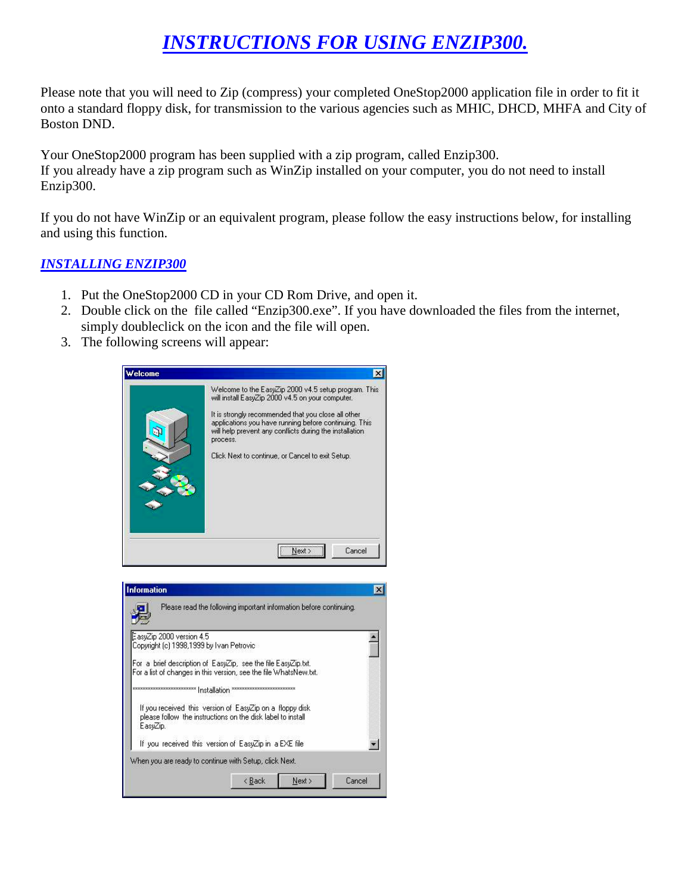## *INSTRUCTIONS FOR USING ENZIP300.*

Please note that you will need to Zip (compress) your completed OneStop2000 application file in order to fit it onto a standard floppy disk, for transmission to the various agencies such as MHIC, DHCD, MHFA and City of Boston DND.

Your OneStop2000 program has been supplied with a zip program, called Enzip300. If you already have a zip program such as WinZip installed on your computer, you do not need to install Enzip300.

If you do not have WinZip or an equivalent program, please follow the easy instructions below, for installing and using this function.

## *INSTALLING ENZIP300*

- 1. Put the OneStop2000 CD in your CD Rom Drive, and open it.
- 2. Double click on the file called "Enzip300.exe". If you have downloaded the files from the internet, simply doubleclick on the icon and the file will open.
- 3. The following screens will appear:

|                                                                      |                                                                                                                                                                                                                                                                                                                                                     | $\mathbf{x}$    |
|----------------------------------------------------------------------|-----------------------------------------------------------------------------------------------------------------------------------------------------------------------------------------------------------------------------------------------------------------------------------------------------------------------------------------------------|-----------------|
|                                                                      | Welcome to the EasyZip 2000 v4.5 setup program. This<br>will install EasyZip 2000 v4.5 on your computer.<br>It is strongly recommended that you close all other<br>applications you have running before continuing. This<br>will help prevent any conflicts during the installation<br>process.<br>Click Next to continue, or Cancel to exit Setup. |                 |
| <b>Information</b>                                                   | Next ><br>Cancel<br>Please read the following important information before continuing.                                                                                                                                                                                                                                                              | $\vert x \vert$ |
| EasyZip 2000 version 4.5<br>Copyright (c) 1998,1999 by Ivan Petrovic | For a brief description of EasyZip, see the file EasyZip.txt.<br>For a list of changes in this version, see the file WhatsNew.txt.                                                                                                                                                                                                                  |                 |
|                                                                      | ************************* Installation *************************                                                                                                                                                                                                                                                                                    |                 |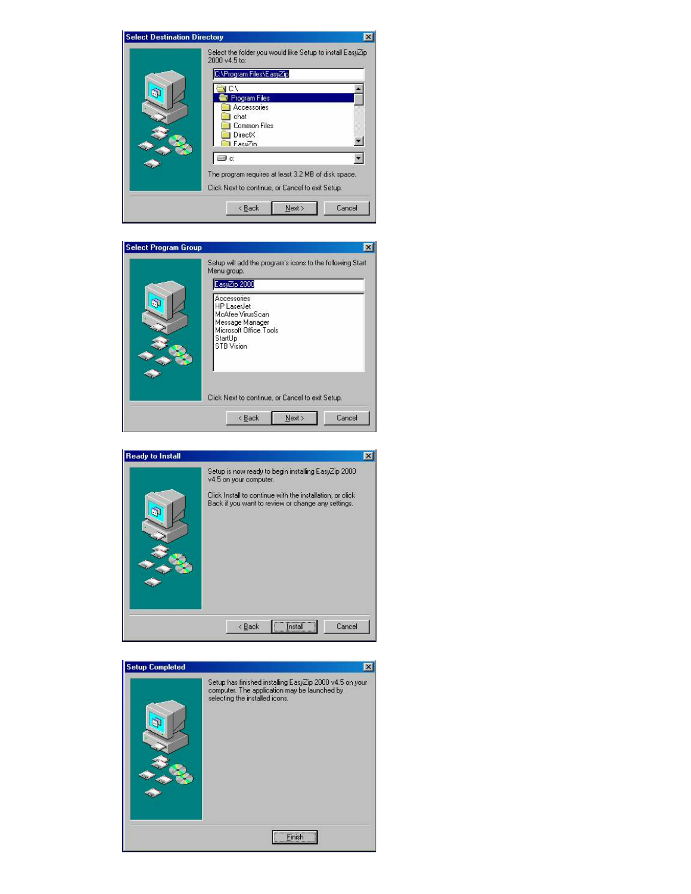

|    | Setup will add the program's icons to the following Start<br>Menu group.                                                                           |
|----|----------------------------------------------------------------------------------------------------------------------------------------------------|
| G) | EasyZip 2000<br>Accessories<br><b>HP</b> LaserJet<br>McAfee VirusScan<br>Message Manager<br>Microsoft Office Tools<br>StartUp<br><b>STB</b> Vision |
|    | Click Next to continue, or Cancel to exit Setup.                                                                                                   |